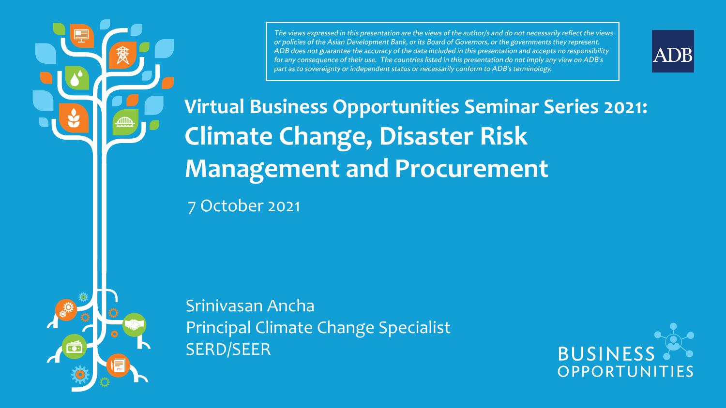The views expressed in this presentation are the views of the author/s and do not necessarily reflect the views or policies of the Asian Development Bank, or its Board of Governors, or the governments they represent. ADB does not guarantee the accuracy of the data included in this presentation and accepts no responsibility for any consequence of their use. The countries listed in this presentation do not imply any view on ADB's part as to sovereignty or independent status or necessarily conform to ADB's terminology.



**Virtual Business Opportunities Seminar Series 2021: Climate Change, Disaster Risk Management and Procurement**

7 October 2021

Srinivasan Ancha Principal Climate Change Specialist SERD/SEER

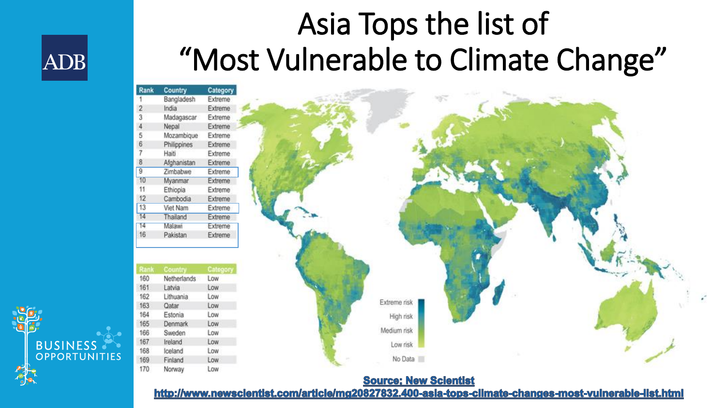### Asia Tops the list of "Most Vulnerable to Climate Change"

| Kank            | Country     | <b>Category</b> |
|-----------------|-------------|-----------------|
|                 | Bangladesh  | Extreme         |
| $\overline{2}$  | India       | Extreme         |
| 3               | Madagascar  | Extreme         |
| 4               | Nepal       | Extreme         |
| 5               | Mozambique  | Extreme         |
| 6               | Philippines | Extreme         |
| 7               | Haiti       | Extreme         |
| 8               | Afghanistan | Extreme         |
| 9               | Zimbabwe    | Extreme         |
| 10              | Myanmar     | Extreme         |
| 11              | Ethiopia    | Extreme         |
| 12              | Cambodia    | Extreme         |
| 13              | Viet Nam    | Extreme         |
| 14              | Thailand    | Extreme         |
| $\overline{14}$ | Malawi      | Extreme         |
| 16              | Pakistan    | Extreme         |

**ADB** 

**BUSINESS** 

OPPORTUNITIES

|     | Rank Country    | Category |
|-----|-----------------|----------|
| 160 | Netherlands Low |          |
| 161 | Latvia          | Low      |
| 162 | Lithuania       | Low      |
| 163 | Qatar           | Low      |
| 164 | Estonia         | Low      |
| 165 | <b>Denmark</b>  | Low      |
| 166 | Sweden          | Low      |
| 167 | Ireland         | Low      |
| 168 | Iceland         | Low      |
| 169 | Finland         | Low      |
| 170 | Norway          | Low      |
|     |                 |          |



#### **Source: New Scientist**

http://www.newscientist.com/article/mg20827832.400-asia-tops-climate-changes-most-vulnerable-list.html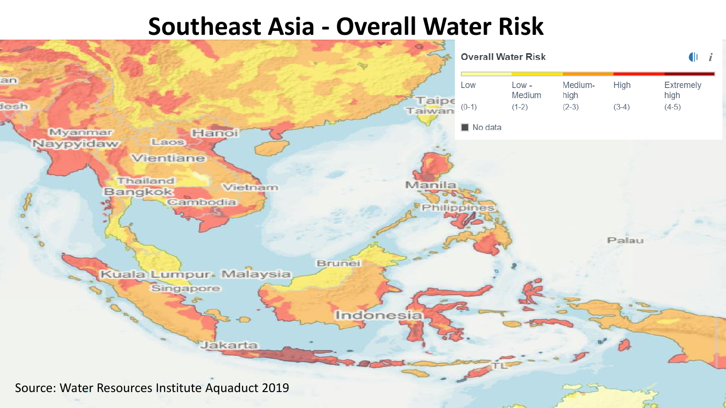#### **Southeast Asia - Overall Water Risk**

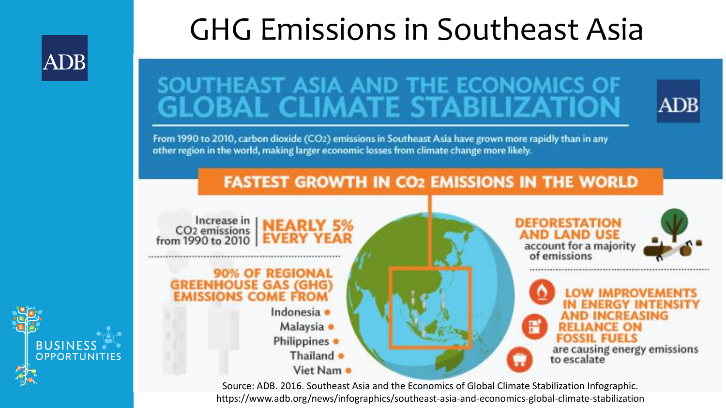### **ADB**

**BUSINESS** 

### GHG Emissions in Southeast Asia

# SOUTHEAST ASIA AND THE ECONOMICS OF<br>GLOBAL CLIMATE STABILIZATION



From 1990 to 2010, carbon dioxide (CO2) emissions in Southeast Asia have grown more rapidly than in any other region in the world, making larger economic losses from climate change more likely.

#### **FASTEST GROWTH IN CO2 EMISSIONS IN THE WORLD**



Source: ADB. 2016. Southeast Asia and the Economics of Global Climate Stabilization Infographic. https://www.adb.org/news/infographics/southeast-asia-and-economics-global-climate-stabilization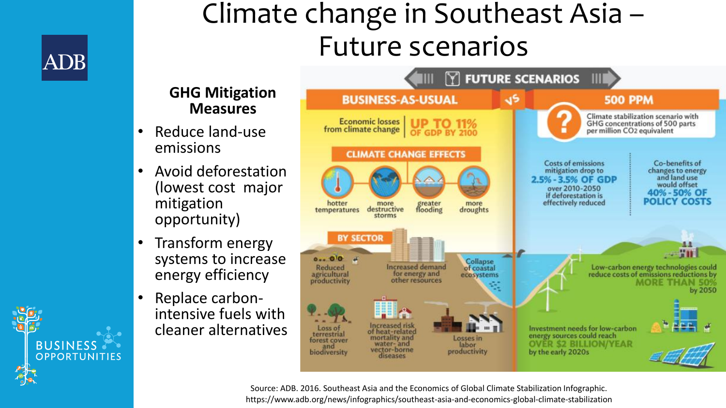

**BUSINESS** 

**OPPORTUNITIES** 

### Climate change in Southeast Asia – Future scenarios

#### **GHG Mitigation Measures**

- Reduce land-use emissions
- Avoid deforestation (lowest cost major mitigation opportunity)
- Transform energy systems to increase energy efficiency
- Replace carbonintensive fuels with cleaner alternatives



Source: ADB. 2016. Southeast Asia and the Economics of Global Climate Stabilization Infographic. https://www.adb.org/news/infographics/southeast-asia-and-economics-global-climate-stabilization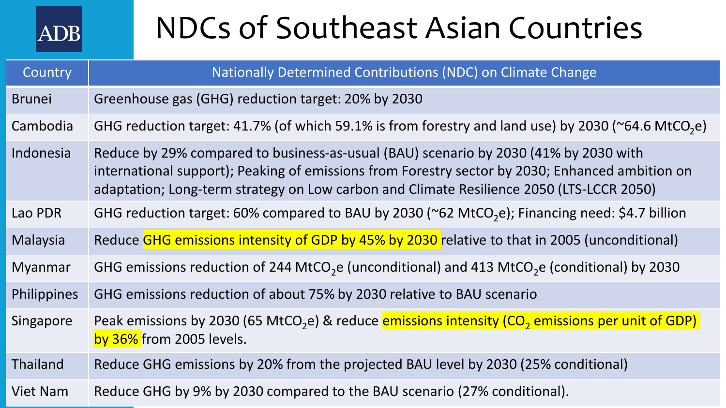

### NDCs of Southeast Asian Countries

| Country         | Nationally Determined Contributions (NDC) on Climate Change                                                                                                                                                                                                                         |
|-----------------|-------------------------------------------------------------------------------------------------------------------------------------------------------------------------------------------------------------------------------------------------------------------------------------|
| <b>Brunei</b>   | Greenhouse gas (GHG) reduction target: 20% by 2030                                                                                                                                                                                                                                  |
| Cambodia        | GHG reduction target: 41.7% (of which 59.1% is from forestry and land use) by 2030 ( $\sim$ 64.6 MtCO <sub>2</sub> e)                                                                                                                                                               |
| Indonesia       | Reduce by 29% compared to business-as-usual (BAU) scenario by 2030 (41% by 2030 with<br>international support); Peaking of emissions from Forestry sector by 2030; Enhanced ambition on<br>adaptation; Long-term strategy on Low carbon and Climate Resilience 2050 (LTS-LCCR 2050) |
| Lao PDR         | GHG reduction target: 60% compared to BAU by 2030 ( $\degree$ 62 MtCO <sub>2</sub> e); Financing need: \$4.7 billion                                                                                                                                                                |
| Malaysia        | Reduce GHG emissions intensity of GDP by 45% by 2030 relative to that in 2005 (unconditional)                                                                                                                                                                                       |
| <b>Myanmar</b>  | GHG emissions reduction of 244 MtCO <sub>2</sub> e (unconditional) and 413 MtCO <sub>2</sub> e (conditional) by 2030                                                                                                                                                                |
| Philippines     | GHG emissions reduction of about 75% by 2030 relative to BAU scenario                                                                                                                                                                                                               |
| Singapore       | Peak emissions by 2030 (65 MtCO <sub>2</sub> e) & reduce <b>emissions intensity (CO<sub>2</sub> emissions per unit of GDP)</b><br>by 36% from 2005 levels.                                                                                                                          |
| Thailand        | Reduce GHG emissions by 20% from the projected BAU level by 2030 (25% conditional)                                                                                                                                                                                                  |
| <b>Viet Nam</b> | Reduce GHG by 9% by 2030 compared to the BAU scenario (27% conditional).                                                                                                                                                                                                            |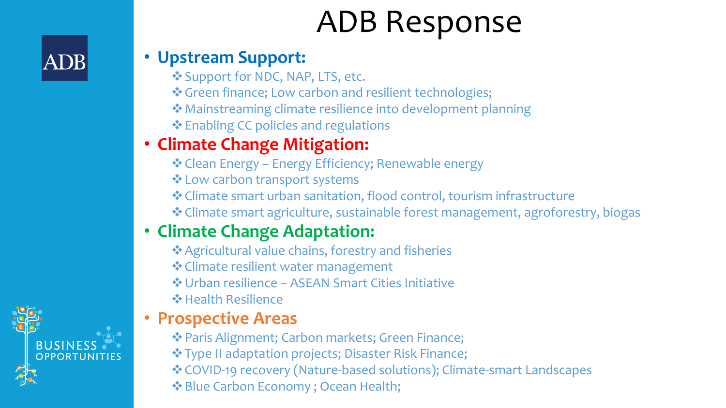### ADB Response

#### • **Upstream Support:**

- ❖Support for NDC, NAP, LTS, etc.
- ❖Green finance; Low carbon and resilient technologies;
- ❖Mainstreaming climate resilience into development planning
- ❖Enabling CC policies and regulations

#### • **Climate Change Mitigation:**

- ❖Clean Energy Energy Efficiency; Renewable energy
- ❖Low carbon transport systems
- ❖Climate smart urban sanitation, flood control, tourism infrastructure
- ❖Climate smart agriculture, sustainable forest management, agroforestry, biogas

#### • **Climate Change Adaptation:**

- ❖Agricultural value chains, forestry and fisheries
- ❖Climate resilient water management
- ❖Urban resilience ASEAN Smart Cities Initiative
- ❖Health Resilience

#### • **Prospective Areas**

- ❖Paris Alignment; Carbon markets; Green Finance;
- ❖Type II adaptation projects; Disaster Risk Finance;
- ❖COVID-19 recovery (Nature-based solutions); Climate-smart Landscapes
- ❖Blue Carbon Economy ; Ocean Health;



ADB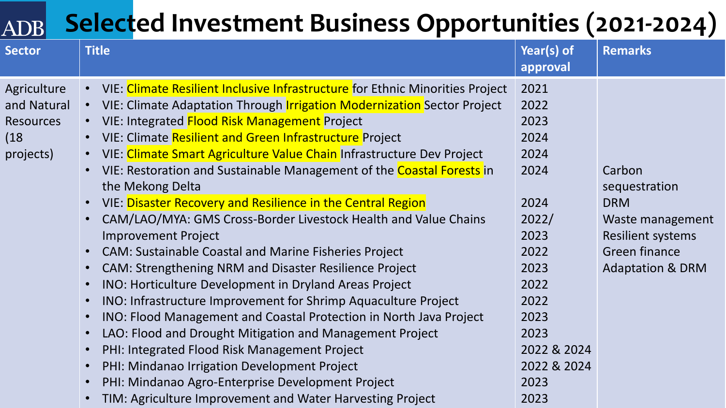#### **Selected Investment Business Opportunities (2021-2024)ADB**

| <b>Sector</b>                                                       | <b>Title</b>                                                                                                                                                                                                                                                                                                                                                                                                                                                                                                                                                                                                                                                                                                                                                                                                                                                                                                                                                                                                                                                                                                                                                                                                                                                                                                           | Year(s) of<br>approval                                                                                                                              | <b>Remarks</b>                                                                                                                               |
|---------------------------------------------------------------------|------------------------------------------------------------------------------------------------------------------------------------------------------------------------------------------------------------------------------------------------------------------------------------------------------------------------------------------------------------------------------------------------------------------------------------------------------------------------------------------------------------------------------------------------------------------------------------------------------------------------------------------------------------------------------------------------------------------------------------------------------------------------------------------------------------------------------------------------------------------------------------------------------------------------------------------------------------------------------------------------------------------------------------------------------------------------------------------------------------------------------------------------------------------------------------------------------------------------------------------------------------------------------------------------------------------------|-----------------------------------------------------------------------------------------------------------------------------------------------------|----------------------------------------------------------------------------------------------------------------------------------------------|
| Agriculture<br>and Natural<br><b>Resources</b><br>(18)<br>projects) | • VIE: Climate Resilient Inclusive Infrastructure for Ethnic Minorities Project<br>VIE: Climate Adaptation Through <i>Irrigation Modernization</i> Sector Project<br>$\bullet$<br>VIE: Integrated Flood Risk Management Project<br>$\bullet$<br>VIE: Climate Resilient and Green Infrastructure Project<br>$\bullet$<br>VIE: Climate Smart Agriculture Value Chain Infrastructure Dev Project<br>$\bullet$<br>VIE: Restoration and Sustainable Management of the Coastal Forests in<br>$\bullet$<br>the Mekong Delta<br>VIE: Disaster Recovery and Resilience in the Central Region<br>$\bullet$<br>CAM/LAO/MYA: GMS Cross-Border Livestock Health and Value Chains<br>$\bullet$<br><b>Improvement Project</b><br><b>CAM: Sustainable Coastal and Marine Fisheries Project</b><br>$\bullet$<br><b>CAM: Strengthening NRM and Disaster Resilience Project</b><br>$\bullet$<br>INO: Horticulture Development in Dryland Areas Project<br>$\bullet$<br>INO: Infrastructure Improvement for Shrimp Aquaculture Project<br>$\bullet$<br>INO: Flood Management and Coastal Protection in North Java Project<br>$\bullet$<br>LAO: Flood and Drought Mitigation and Management Project<br>$\bullet$<br>PHI: Integrated Flood Risk Management Project<br>$\bullet$<br>PHI: Mindanao Irrigation Development Project<br>$\bullet$ | 2021<br>2022<br>2023<br>2024<br>2024<br>2024<br>2024<br>2022/<br>2023<br>2022<br>2023<br>2022<br>2022<br>2023<br>2023<br>2022 & 2024<br>2022 & 2024 | Carbon<br>sequestration<br><b>DRM</b><br>Waste management<br><b>Resilient systems</b><br><b>Green finance</b><br><b>Adaptation &amp; DRM</b> |
|                                                                     | PHI: Mindanao Agro-Enterprise Development Project<br>$\bullet$<br>TIM: Agriculture Improvement and Water Harvesting Project<br>$\bullet$                                                                                                                                                                                                                                                                                                                                                                                                                                                                                                                                                                                                                                                                                                                                                                                                                                                                                                                                                                                                                                                                                                                                                                               | 2023<br>2023                                                                                                                                        |                                                                                                                                              |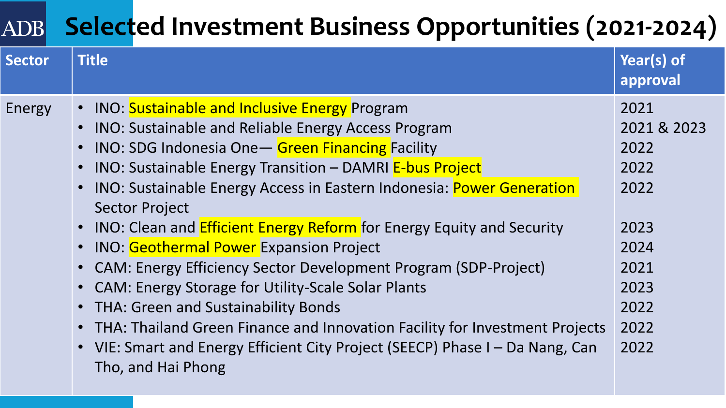#### **Selected Investment Business Opportunities (2021-2024)** ADB

| <b>Sector</b> | <b>Title</b>                                                                                                                                                                                                                                                                                                                                                                                                                                                                                                                                                                                                                                                                                                                                                                                                                             | Year(s) of<br>approval                                                                              |
|---------------|------------------------------------------------------------------------------------------------------------------------------------------------------------------------------------------------------------------------------------------------------------------------------------------------------------------------------------------------------------------------------------------------------------------------------------------------------------------------------------------------------------------------------------------------------------------------------------------------------------------------------------------------------------------------------------------------------------------------------------------------------------------------------------------------------------------------------------------|-----------------------------------------------------------------------------------------------------|
| Energy        | • INO: Sustainable and Inclusive Energy Program<br>• INO: Sustainable and Reliable Energy Access Program<br><b>INO: SDG Indonesia One - Green Financing Facility</b><br>• INO: Sustainable Energy Transition - DAMRI E-bus Project<br>• INO: Sustainable Energy Access in Eastern Indonesia: Power Generation<br><b>Sector Project</b><br>• INO: Clean and <b>Efficient Energy Reform</b> for Energy Equity and Security<br><b>INO:</b> Geothermal Power Expansion Project<br>• CAM: Energy Efficiency Sector Development Program (SDP-Project)<br>• CAM: Energy Storage for Utility-Scale Solar Plants<br>• THA: Green and Sustainability Bonds<br>• THA: Thailand Green Finance and Innovation Facility for Investment Projects<br>• VIE: Smart and Energy Efficient City Project (SEECP) Phase I – Da Nang, Can<br>Tho, and Hai Phong | 2021<br>2021 & 2023<br>2022<br>2022<br>2022<br>2023<br>2024<br>2021<br>2023<br>2022<br>2022<br>2022 |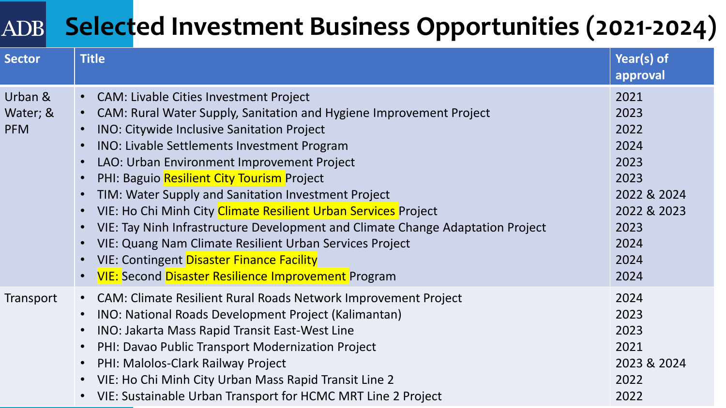#### **Selected Investment Business Opportunities (2021-2024)**ADB

| <b>Sector</b>                     | <b>Title</b>                                                                                                                                                                                                                                                                                                                                                                                                                                                                                                                                                                                                                                                                                                                                                                                                                                                  | Year(s) of<br>approval                                                                                     |
|-----------------------------------|---------------------------------------------------------------------------------------------------------------------------------------------------------------------------------------------------------------------------------------------------------------------------------------------------------------------------------------------------------------------------------------------------------------------------------------------------------------------------------------------------------------------------------------------------------------------------------------------------------------------------------------------------------------------------------------------------------------------------------------------------------------------------------------------------------------------------------------------------------------|------------------------------------------------------------------------------------------------------------|
| Urban &<br>Water; &<br><b>PFM</b> | • CAM: Livable Cities Investment Project<br>CAM: Rural Water Supply, Sanitation and Hygiene Improvement Project<br>$\bullet$<br><b>INO: Citywide Inclusive Sanitation Project</b><br>$\bullet$<br><b>INO: Livable Settlements Investment Program</b><br>$\bullet$<br>LAO: Urban Environment Improvement Project<br>$\bullet$<br>PHI: Baguio Resilient City Tourism Project<br>$\bullet$<br>TIM: Water Supply and Sanitation Investment Project<br>$\bullet$<br>VIE: Ho Chi Minh City Climate Resilient Urban Services Project<br>$\bullet$<br>VIE: Tay Ninh Infrastructure Development and Climate Change Adaptation Project<br>$\bullet$<br>VIE: Quang Nam Climate Resilient Urban Services Project<br>$\bullet$<br><b>VIE: Contingent Disaster Finance Facility</b><br>$\bullet$<br><b>VIE: Second Disaster Resilience Improvement Program</b><br>$\bullet$ | 2021<br>2023<br>2022<br>2024<br>2023<br>2023<br>2022 & 2024<br>2022 & 2023<br>2023<br>2024<br>2024<br>2024 |
| Transport                         | <b>CAM: Climate Resilient Rural Roads Network Improvement Project</b><br>$\bullet$ .<br>INO: National Roads Development Project (Kalimantan)<br>$\bullet$<br>INO: Jakarta Mass Rapid Transit East-West Line<br>$\bullet$<br>PHI: Davao Public Transport Modernization Project<br>$\bullet$<br>PHI: Malolos-Clark Railway Project<br>$\bullet$<br>VIE: Ho Chi Minh City Urban Mass Rapid Transit Line 2<br>$\bullet$<br>VIE: Sustainable Urban Transport for HCMC MRT Line 2 Project<br>$\bullet$                                                                                                                                                                                                                                                                                                                                                              | 2024<br>2023<br>2023<br>2021<br>2023 & 2024<br>2022<br>2022                                                |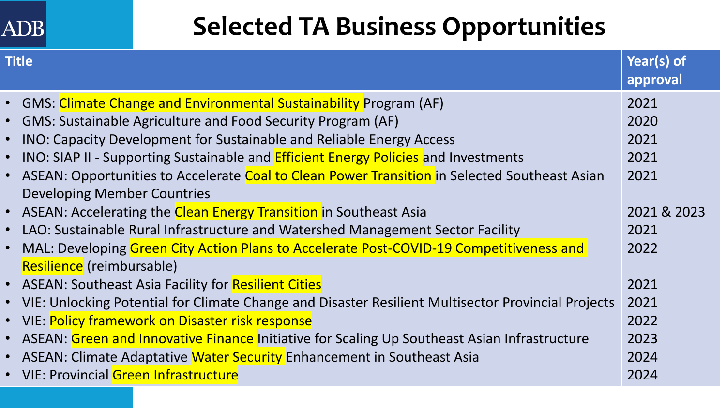#### **ADB**

### **Selected TA Business Opportunities**

| <b>Title</b> |                                                                                                      | Year(s) of<br>approval |
|--------------|------------------------------------------------------------------------------------------------------|------------------------|
|              | • GMS: Climate Change and Environmental Sustainability Program (AF)                                  | 2021                   |
|              | • GMS: Sustainable Agriculture and Food Security Program (AF)                                        | 2020                   |
|              | • INO: Capacity Development for Sustainable and Reliable Energy Access                               | 2021                   |
|              | • INO: SIAP II - Supporting Sustainable and <b>Efficient Energy Policies</b> and Investments         | 2021                   |
|              | • ASEAN: Opportunities to Accelerate Coal to Clean Power Transition in Selected Southeast Asian      | 2021                   |
|              | <b>Developing Member Countries</b>                                                                   |                        |
|              | • ASEAN: Accelerating the Clean Energy Transition in Southeast Asia                                  | 2021 & 2023            |
|              | • LAO: Sustainable Rural Infrastructure and Watershed Management Sector Facility                     | 2021                   |
|              | • MAL: Developing Green City Action Plans to Accelerate Post-COVID-19 Competitiveness and            | 2022                   |
|              | Resilience (reimbursable)                                                                            |                        |
|              | • ASEAN: Southeast Asia Facility for Resilient Cities                                                | 2021                   |
|              | • VIE: Unlocking Potential for Climate Change and Disaster Resilient Multisector Provincial Projects | 2021                   |
|              | • VIE: Policy framework on Disaster risk response                                                    | 2022                   |
|              | • ASEAN: Green and Innovative Finance Initiative for Scaling Up Southeast Asian Infrastructure       | 2023                   |
|              | • ASEAN: Climate Adaptative Water Security Enhancement in Southeast Asia                             | 2024                   |
|              | • VIE: Provincial Green Infrastructure                                                               | 2024                   |